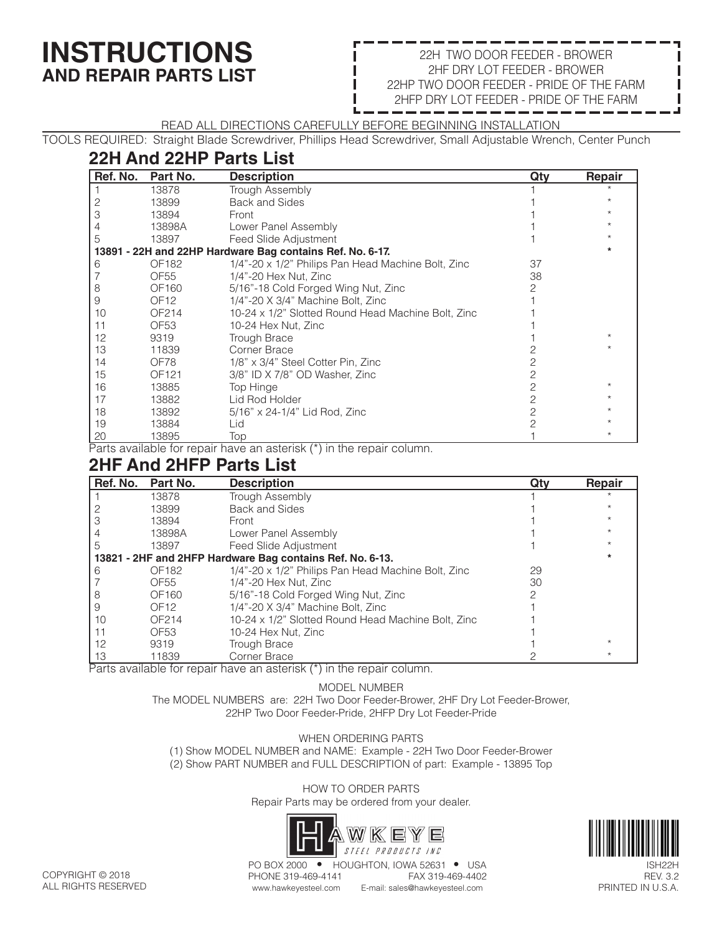# **INSTRUCTIONS AND REPAIR PARTS LIST**

#### 22H TWO DOOR FEEDER - BROWER 2HF DRY LOT FEEDER - BROWER 22HP TWO DOOR FEEDER - PRIDE OF THE FARM 2HFP DRY LOT FEEDER - PRIDE OF THE FARM

READ ALL DIRECTIONS CAREFULLY BEFORE BEGINNING INSTALLATION

TOOLS REQUIRED: Straight Blade Screwdriver, Phillips Head Screwdriver, Small Adjustable Wrench, Center Punch

## **22H And 22HP Parts List**

| Ref. No.                                                  | Part No.         | <b>Description</b>                                 | Qty | Repair  |
|-----------------------------------------------------------|------------------|----------------------------------------------------|-----|---------|
|                                                           | 13878            | Trough Assembly                                    |     |         |
|                                                           | 13899            | Back and Sides                                     |     |         |
| 3                                                         | 13894            | Front                                              |     |         |
|                                                           | 13898A           | Lower Panel Assembly                               |     |         |
| 5                                                         | 13897            | Feed Slide Adjustment                              |     |         |
| 13891 - 22H and 22HP Hardware Bag contains Ref. No. 6-17. |                  |                                                    |     |         |
| 6                                                         | OF182            | 1/4"-20 x 1/2" Philips Pan Head Machine Bolt, Zinc | 37  |         |
|                                                           | OF55             | 1/4"-20 Hex Nut, Zinc                              | 38  |         |
| 8                                                         | OF160            | 5/16"-18 Cold Forged Wing Nut, Zinc                |     |         |
| 9                                                         | OF <sub>12</sub> | 1/4"-20 X 3/4" Machine Bolt, Zinc                  |     |         |
| 10                                                        | OF214            | 10-24 x 1/2" Slotted Round Head Machine Bolt, Zinc |     |         |
| 11                                                        | OF53             | 10-24 Hex Nut, Zinc                                |     |         |
| 12                                                        | 9319             | <b>Trough Brace</b>                                |     |         |
| 13                                                        | 11839            | Corner Brace                                       |     |         |
| 14                                                        | OF78             | 1/8" x 3/4" Steel Cotter Pin, Zinc                 |     |         |
| 15                                                        | OF121            | 3/8" ID X 7/8" OD Washer, Zinc                     |     |         |
| 16                                                        | 13885            | Top Hinge                                          |     |         |
| 17                                                        | 13882            | Lid Rod Holder                                     | 2   |         |
| 18                                                        | 13892            | 5/16" x 24-1/4" Lid Rod, Zinc                      |     |         |
| 19                                                        | 13884            | Lid                                                |     |         |
| 20                                                        | 13895            | Top                                                |     | $\star$ |

Parts available for repair have an asterisk (\*) in the repair column.

#### **2HF And 2HFP Parts List**

| Ref. No. | Part No.                                                  | <b>Description</b>                                 | Qty | Repair |
|----------|-----------------------------------------------------------|----------------------------------------------------|-----|--------|
|          | 13878                                                     | <b>Trough Assembly</b>                             |     |        |
|          | 13899                                                     | Back and Sides                                     |     |        |
|          | 13894                                                     | Front                                              |     |        |
|          | 13898A                                                    | Lower Panel Assembly                               |     |        |
| 5        | 13897                                                     | Feed Slide Adjustment                              |     |        |
|          | 13821 - 2HF and 2HFP Hardware Bag contains Ref. No. 6-13. |                                                    |     |        |
| 6        | OF182                                                     | 1/4"-20 x 1/2" Philips Pan Head Machine Bolt, Zinc | 29  |        |
|          | OF55                                                      | 1/4"-20 Hex Nut. Zinc                              | 30  |        |
| 8        | OF160                                                     | 5/16"-18 Cold Forged Wing Nut, Zinc                |     |        |
| 9        | OF <sub>12</sub>                                          | 1/4"-20 X 3/4" Machine Bolt. Zinc                  |     |        |
| 10       | OF214                                                     | 10-24 x 1/2" Slotted Round Head Machine Bolt, Zinc |     |        |
|          | OF <sub>53</sub>                                          | 10-24 Hex Nut. Zinc                                |     |        |
| 12       | 9319                                                      | <b>Trough Brace</b>                                |     |        |
| 13       | 11839                                                     | Corner Brace                                       |     |        |

Parts available for repair have an asterisk (\*) in the repair column.

MODEL NUMBER

The MODEL NUMBERS are: 22H Two Door Feeder-Brower, 2HF Dry Lot Feeder-Brower, 22HP Two Door Feeder-Pride, 2HFP Dry Lot Feeder-Pride

#### WHEN ORDERING PARTS

(1) Show MODEL NUMBER and NAME: Example - 22H Two Door Feeder-Brower (2) Show PART NUMBER and FULL DESCRIPTION of part: Example - 13895 Top

> HOW TO ORDER PARTS Repair Parts may be ordered from your dealer.





ISH22H REV. 3.2 PRINTED IN U.S.A.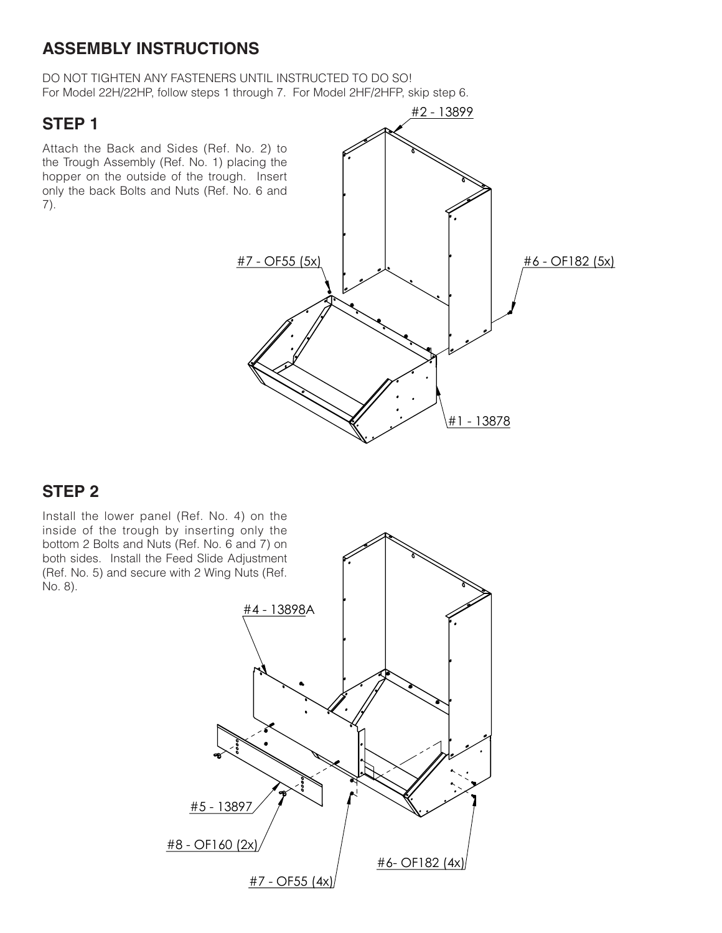### **ASSEMBLY INSTRUCTIONS**

DO NOT TIGHTEN ANY FASTENERS UNTIL INSTRUCTED TO DO SO! For Model 22H/22HP, follow steps 1 through 7. For Model 2HF/2HFP, skip step 6.

#### **STEP 1**

Attach the Back and Sides (Ref. No. 2) to the Trough Assembly (Ref. No. 1) placing the hopper on the outside of the trough. Insert only the back Bolts and Nuts (Ref. No. 6 and 7).



### **STEP 2**

Install the lower panel (Ref. No. 4) on the inside of the trough by inserting only the bottom 2 Bolts and Nuts (Ref. No. 6 and 7) on both sides. Install the Feed Slide Adjustment (Ref. No. 5) and secure with 2 Wing Nuts (Ref. No. 8).

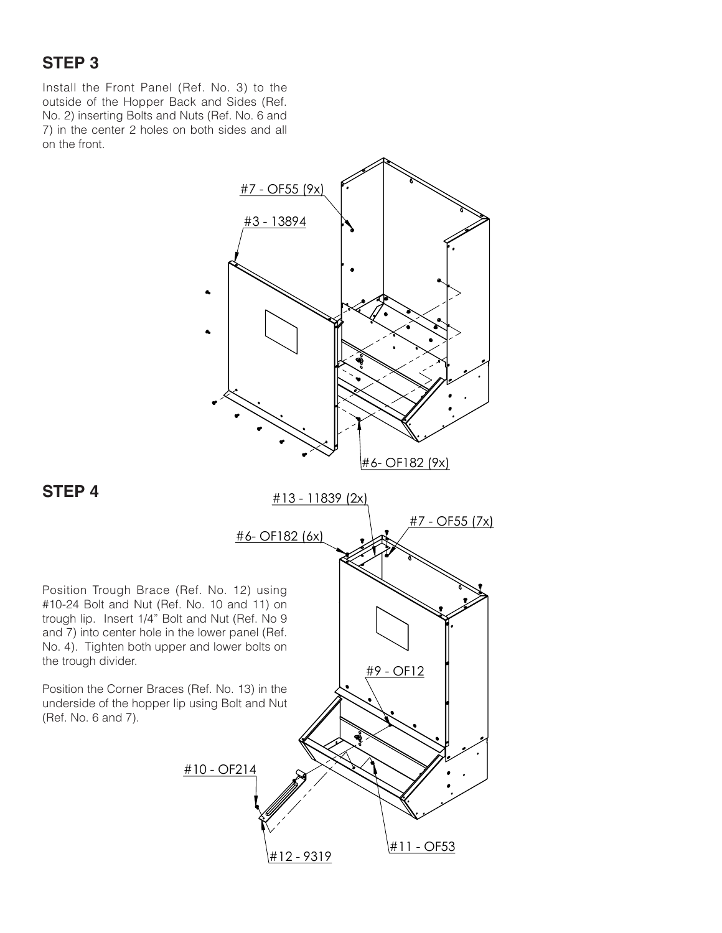# **STEP 3**

Install the Front Panel (Ref. No. 3) to the outside of the Hopper Back and Sides (Ref. No. 2) inserting Bolts and Nuts (Ref. No. 6 and 7) in the center 2 holes on both sides and all on the front.



**STEP 4**

Position Trough Brace (Ref. No. 12) using trough lip. Insert 1/4" Bolt and Nut (Ref. No 9 and 7) into center hole in the lower panel (Ref. No. 4). Tighten both upper and lower bolts on the trough divider.

Position the Corner Braces (Ref. No. 13) in the underside of the hopper lip using Bolt and Nut (Ref. No. 6 and 7).